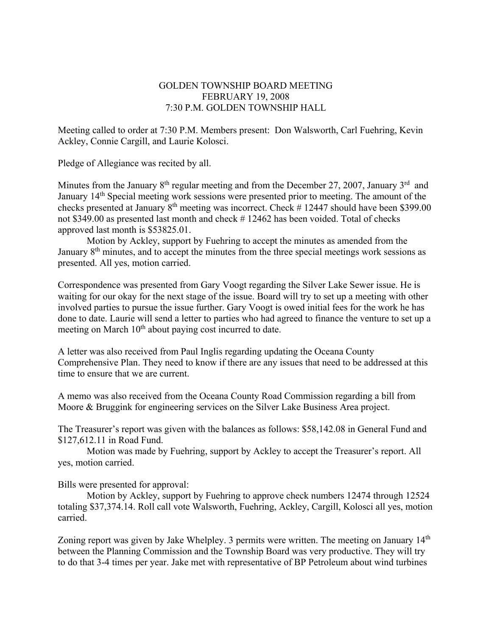## GOLDEN TOWNSHIP BOARD MEETING FEBRUARY 19, 2008 7:30 P.M. GOLDEN TOWNSHIP HALL

Meeting called to order at 7:30 P.M. Members present: Don Walsworth, Carl Fuehring, Kevin Ackley, Connie Cargill, and Laurie Kolosci.

Pledge of Allegiance was recited by all.

Minutes from the January  $8<sup>th</sup>$  regular meeting and from the December 27, 2007, January  $3<sup>rd</sup>$  and January 14<sup>th</sup> Special meeting work sessions were presented prior to meeting. The amount of the checks presented at January 8th meeting was incorrect. Check # 12447 should have been \$399.00 not \$349.00 as presented last month and check # 12462 has been voided. Total of checks approved last month is \$53825.01.

 Motion by Ackley, support by Fuehring to accept the minutes as amended from the January  $8<sup>th</sup>$  minutes, and to accept the minutes from the three special meetings work sessions as presented. All yes, motion carried.

Correspondence was presented from Gary Voogt regarding the Silver Lake Sewer issue. He is waiting for our okay for the next stage of the issue. Board will try to set up a meeting with other involved parties to pursue the issue further. Gary Voogt is owed initial fees for the work he has done to date. Laurie will send a letter to parties who had agreed to finance the venture to set up a meeting on March  $10<sup>th</sup>$  about paying cost incurred to date.

A letter was also received from Paul Inglis regarding updating the Oceana County Comprehensive Plan. They need to know if there are any issues that need to be addressed at this time to ensure that we are current.

A memo was also received from the Oceana County Road Commission regarding a bill from Moore & Bruggink for engineering services on the Silver Lake Business Area project.

The Treasurer's report was given with the balances as follows: \$58,142.08 in General Fund and \$127,612.11 in Road Fund.

 Motion was made by Fuehring, support by Ackley to accept the Treasurer's report. All yes, motion carried.

Bills were presented for approval:

Motion by Ackley, support by Fuehring to approve check numbers 12474 through 12524 totaling \$37,374.14. Roll call vote Walsworth, Fuehring, Ackley, Cargill, Kolosci all yes, motion carried.

Zoning report was given by Jake Whelpley. 3 permits were written. The meeting on January 14<sup>th</sup> between the Planning Commission and the Township Board was very productive. They will try to do that 3-4 times per year. Jake met with representative of BP Petroleum about wind turbines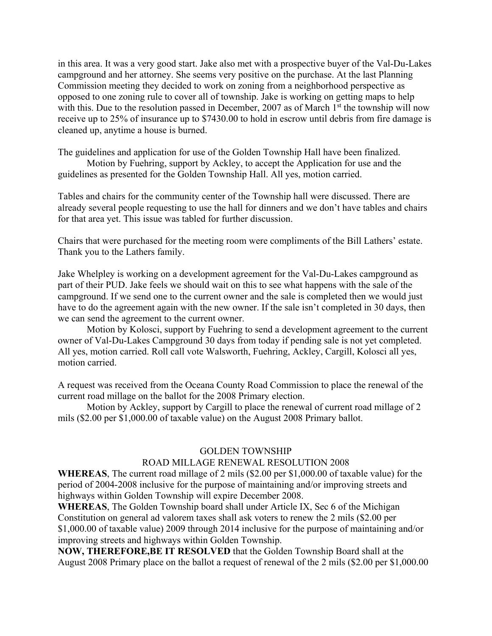in this area. It was a very good start. Jake also met with a prospective buyer of the Val-Du-Lakes campground and her attorney. She seems very positive on the purchase. At the last Planning Commission meeting they decided to work on zoning from a neighborhood perspective as opposed to one zoning rule to cover all of township. Jake is working on getting maps to help with this. Due to the resolution passed in December, 2007 as of March  $1<sup>st</sup>$  the township will now receive up to 25% of insurance up to \$7430.00 to hold in escrow until debris from fire damage is cleaned up, anytime a house is burned.

The guidelines and application for use of the Golden Township Hall have been finalized. Motion by Fuehring, support by Ackley, to accept the Application for use and the guidelines as presented for the Golden Township Hall. All yes, motion carried.

Tables and chairs for the community center of the Township hall were discussed. There are already several people requesting to use the hall for dinners and we don't have tables and chairs for that area yet. This issue was tabled for further discussion.

Chairs that were purchased for the meeting room were compliments of the Bill Lathers' estate. Thank you to the Lathers family.

Jake Whelpley is working on a development agreement for the Val-Du-Lakes campground as part of their PUD. Jake feels we should wait on this to see what happens with the sale of the campground. If we send one to the current owner and the sale is completed then we would just have to do the agreement again with the new owner. If the sale isn't completed in 30 days, then we can send the agreement to the current owner.

 Motion by Kolosci, support by Fuehring to send a development agreement to the current owner of Val-Du-Lakes Campground 30 days from today if pending sale is not yet completed. All yes, motion carried. Roll call vote Walsworth, Fuehring, Ackley, Cargill, Kolosci all yes, motion carried.

A request was received from the Oceana County Road Commission to place the renewal of the current road millage on the ballot for the 2008 Primary election.

 Motion by Ackley, support by Cargill to place the renewal of current road millage of 2 mils (\$2.00 per \$1,000.00 of taxable value) on the August 2008 Primary ballot.

## GOLDEN TOWNSHIP

## ROAD MILLAGE RENEWAL RESOLUTION 2008

**WHEREAS**, The current road millage of 2 mils (\$2.00 per \$1,000.00 of taxable value) for the period of 2004-2008 inclusive for the purpose of maintaining and/or improving streets and highways within Golden Township will expire December 2008.

**WHEREAS**, The Golden Township board shall under Article IX, Sec 6 of the Michigan Constitution on general ad valorem taxes shall ask voters to renew the 2 mils (\$2.00 per \$1,000.00 of taxable value) 2009 through 2014 inclusive for the purpose of maintaining and/or improving streets and highways within Golden Township.

**NOW, THEREFORE,BE IT RESOLVED** that the Golden Township Board shall at the August 2008 Primary place on the ballot a request of renewal of the 2 mils (\$2.00 per \$1,000.00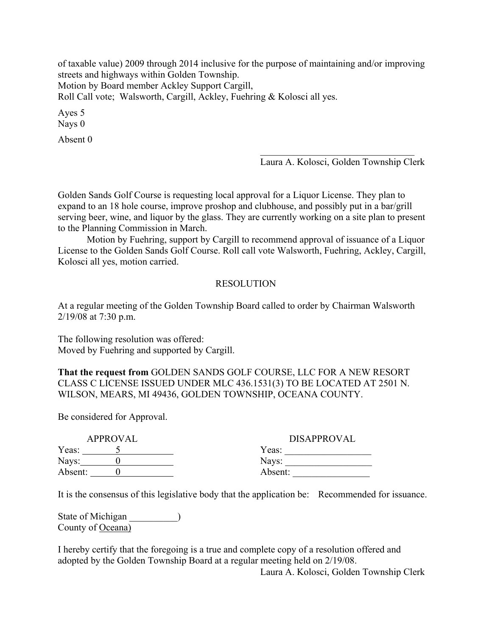of taxable value) 2009 through 2014 inclusive for the purpose of maintaining and/or improving streets and highways within Golden Township. Motion by Board member Ackley Support Cargill, Roll Call vote; Walsworth, Cargill, Ackley, Fuehring & Kolosci all yes.

Ayes 5 Nays 0

Absent 0

Laura A. Kolosci, Golden Township Clerk

Golden Sands Golf Course is requesting local approval for a Liquor License. They plan to expand to an 18 hole course, improve proshop and clubhouse, and possibly put in a bar/grill serving beer, wine, and liquor by the glass. They are currently working on a site plan to present to the Planning Commission in March.

 Motion by Fuehring, support by Cargill to recommend approval of issuance of a Liquor License to the Golden Sands Golf Course. Roll call vote Walsworth, Fuehring, Ackley, Cargill, Kolosci all yes, motion carried.

## RESOLUTION

At a regular meeting of the Golden Township Board called to order by Chairman Walsworth 2/19/08 at 7:30 p.m.

The following resolution was offered: Moved by Fuehring and supported by Cargill.

**That the request from** GOLDEN SANDS GOLF COURSE, LLC FOR A NEW RESORT CLASS C LICENSE ISSUED UNDER MLC 436.1531(3) TO BE LOCATED AT 2501 N. WILSON, MEARS, MI 49436, GOLDEN TOWNSHIP, OCEANA COUNTY.

Be considered for Approval.

| APPROVAL |  | <b>DISAPPROVAL</b> |
|----------|--|--------------------|
| Yeas:    |  | Yeas:              |
| Nays:    |  | Nays:              |
| Absent:  |  | Absent:            |

It is the consensus of this legislative body that the application be: Recommended for issuance.

State of Michigan \_\_\_\_\_\_\_\_\_\_\_) County of Oceana)

I hereby certify that the foregoing is a true and complete copy of a resolution offered and adopted by the Golden Township Board at a regular meeting held on 2/19/08.

Laura A. Kolosci, Golden Township Clerk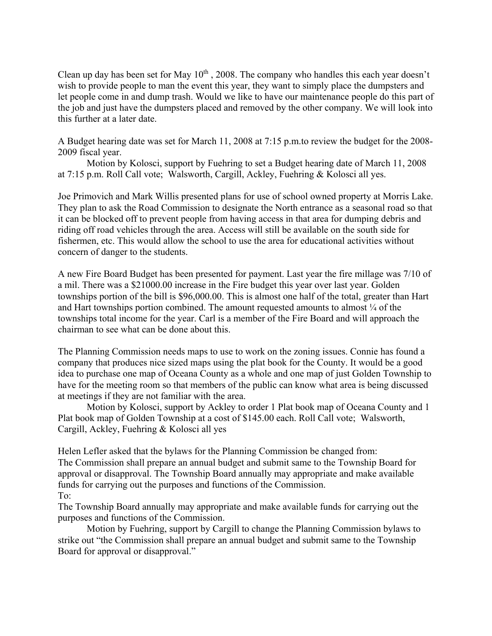Clean up day has been set for May  $10^{th}$ , 2008. The company who handles this each year doesn't wish to provide people to man the event this year, they want to simply place the dumpsters and let people come in and dump trash. Would we like to have our maintenance people do this part of the job and just have the dumpsters placed and removed by the other company. We will look into this further at a later date.

A Budget hearing date was set for March 11, 2008 at 7:15 p.m.to review the budget for the 2008- 2009 fiscal year.

 Motion by Kolosci, support by Fuehring to set a Budget hearing date of March 11, 2008 at 7:15 p.m. Roll Call vote; Walsworth, Cargill, Ackley, Fuehring & Kolosci all yes.

Joe Primovich and Mark Willis presented plans for use of school owned property at Morris Lake. They plan to ask the Road Commission to designate the North entrance as a seasonal road so that it can be blocked off to prevent people from having access in that area for dumping debris and riding off road vehicles through the area. Access will still be available on the south side for fishermen, etc. This would allow the school to use the area for educational activities without concern of danger to the students.

A new Fire Board Budget has been presented for payment. Last year the fire millage was 7/10 of a mil. There was a \$21000.00 increase in the Fire budget this year over last year. Golden townships portion of the bill is \$96,000.00. This is almost one half of the total, greater than Hart and Hart townships portion combined. The amount requested amounts to almost  $\frac{1}{4}$  of the townships total income for the year. Carl is a member of the Fire Board and will approach the chairman to see what can be done about this.

The Planning Commission needs maps to use to work on the zoning issues. Connie has found a company that produces nice sized maps using the plat book for the County. It would be a good idea to purchase one map of Oceana County as a whole and one map of just Golden Township to have for the meeting room so that members of the public can know what area is being discussed at meetings if they are not familiar with the area.

 Motion by Kolosci, support by Ackley to order 1 Plat book map of Oceana County and 1 Plat book map of Golden Township at a cost of \$145.00 each. Roll Call vote; Walsworth, Cargill, Ackley, Fuehring & Kolosci all yes

Helen Lefler asked that the bylaws for the Planning Commission be changed from: The Commission shall prepare an annual budget and submit same to the Township Board for approval or disapproval. The Township Board annually may appropriate and make available funds for carrying out the purposes and functions of the Commission. To:

The Township Board annually may appropriate and make available funds for carrying out the purposes and functions of the Commission.

 Motion by Fuehring, support by Cargill to change the Planning Commission bylaws to strike out "the Commission shall prepare an annual budget and submit same to the Township Board for approval or disapproval."